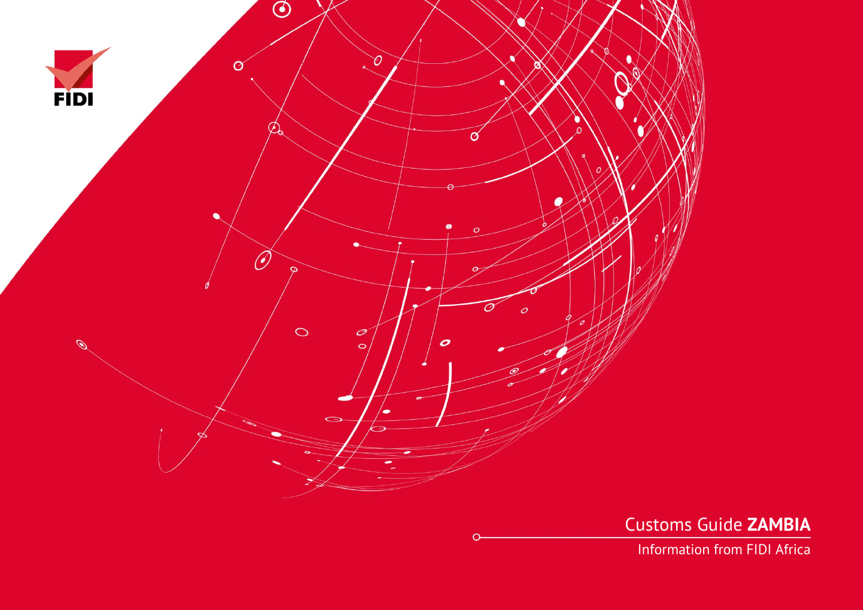

Customs Guide **ZAMBIA**

Information from FIDI Africa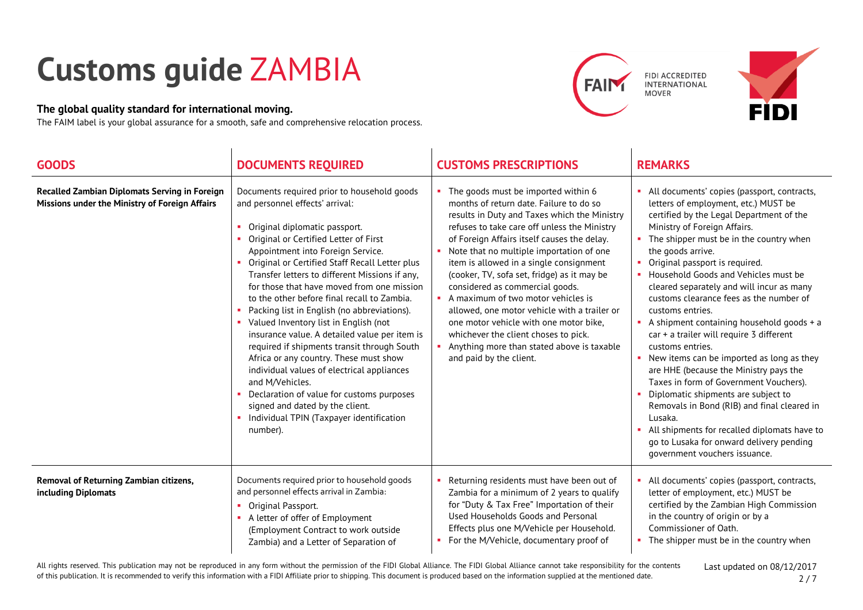## **Customs guide** ZAMBIA

## **The global quality standard for international moving.**

The FAIM label is your global assurance for a smooth, safe and comprehensive relocation process.





| <b>GOODS</b>                                                                                    | <b>DOCUMENTS REQUIRED</b>                                                                                                                                                                                                                                                                                                                                                                                                                                                                                                                                                                                                                                                                                                                                                                                                                       | <b>CUSTOMS PRESCRIPTIONS</b>                                                                                                                                                                                                                                                                                                                                                                                                                                                                                                                                                                                                                                | <b>REMARKS</b>                                                                                                                                                                                                                                                                                                                                                                                                                                                                                                                                                                                                                                                                                                                                                                                                                                                                                            |
|-------------------------------------------------------------------------------------------------|-------------------------------------------------------------------------------------------------------------------------------------------------------------------------------------------------------------------------------------------------------------------------------------------------------------------------------------------------------------------------------------------------------------------------------------------------------------------------------------------------------------------------------------------------------------------------------------------------------------------------------------------------------------------------------------------------------------------------------------------------------------------------------------------------------------------------------------------------|-------------------------------------------------------------------------------------------------------------------------------------------------------------------------------------------------------------------------------------------------------------------------------------------------------------------------------------------------------------------------------------------------------------------------------------------------------------------------------------------------------------------------------------------------------------------------------------------------------------------------------------------------------------|-----------------------------------------------------------------------------------------------------------------------------------------------------------------------------------------------------------------------------------------------------------------------------------------------------------------------------------------------------------------------------------------------------------------------------------------------------------------------------------------------------------------------------------------------------------------------------------------------------------------------------------------------------------------------------------------------------------------------------------------------------------------------------------------------------------------------------------------------------------------------------------------------------------|
| Recalled Zambian Diplomats Serving in Foreign<br>Missions under the Ministry of Foreign Affairs | Documents required prior to household goods<br>and personnel effects' arrival:<br>Original diplomatic passport.<br>×.<br>Original or Certified Letter of First<br>Appointment into Foreign Service.<br>Original or Certified Staff Recall Letter plus<br>Transfer letters to different Missions if any,<br>for those that have moved from one mission<br>to the other before final recall to Zambia.<br>Packing list in English (no abbreviations).<br>Valued Inventory list in English (not<br>insurance value. A detailed value per item is<br>required if shipments transit through South<br>Africa or any country. These must show<br>individual values of electrical appliances<br>and M/Vehicles.<br>Declaration of value for customs purposes<br>signed and dated by the client.<br>Individual TPIN (Taxpayer identification<br>number). | • The goods must be imported within 6<br>months of return date. Failure to do so<br>results in Duty and Taxes which the Ministry<br>refuses to take care off unless the Ministry<br>of Foreign Affairs itself causes the delay.<br>• Note that no multiple importation of one<br>item is allowed in a single consignment<br>(cooker, TV, sofa set, fridge) as it may be<br>considered as commercial goods.<br>A maximum of two motor vehicles is<br>allowed, one motor vehicle with a trailer or<br>one motor vehicle with one motor bike,<br>whichever the client choses to pick.<br>Anything more than stated above is taxable<br>and paid by the client. | • All documents' copies (passport, contracts,<br>letters of employment, etc.) MUST be<br>certified by the Legal Department of the<br>Ministry of Foreign Affairs.<br>• The shipper must be in the country when<br>the goods arrive.<br>Original passport is required.<br>• Household Goods and Vehicles must be<br>cleared separately and will incur as many<br>customs clearance fees as the number of<br>customs entries.<br>A shipment containing household goods + a<br>car + a trailer will require 3 different<br>customs entries.<br>• New items can be imported as long as they<br>are HHE (because the Ministry pays the<br>Taxes in form of Government Vouchers).<br>Diplomatic shipments are subject to<br>Removals in Bond (RIB) and final cleared in<br>Lusaka.<br>All shipments for recalled diplomats have to<br>go to Lusaka for onward delivery pending<br>government vouchers issuance. |
| Removal of Returning Zambian citizens,<br>including Diplomats                                   | Documents required prior to household goods<br>and personnel effects arrival in Zambia:<br>Original Passport.<br>$\mathbf{u}$ .<br>A letter of offer of Employment<br>(Employment Contract to work outside<br>Zambia) and a Letter of Separation of                                                                                                                                                                                                                                                                                                                                                                                                                                                                                                                                                                                             | Returning residents must have been out of<br>Zambia for a minimum of 2 years to qualify<br>for "Duty & Tax Free" Importation of their<br>Used Households Goods and Personal<br>Effects plus one M/Vehicle per Household.<br>For the M/Vehicle, documentary proof of                                                                                                                                                                                                                                                                                                                                                                                         | • All documents' copies (passport, contracts,<br>letter of employment, etc.) MUST be<br>certified by the Zambian High Commission<br>in the country of origin or by a<br>Commissioner of Oath.<br>• The shipper must be in the country when                                                                                                                                                                                                                                                                                                                                                                                                                                                                                                                                                                                                                                                                |

## All rights reserved. This publication may not be reproduced in any form without the permission of the FIDI Global Alliance. The FIDI Global Alliance cannot take responsibility for the contents of this publication. It is recommended to verify this information with a FIDI Affiliate prior to shipping. This document is produced based on the information supplied at the mentioned date.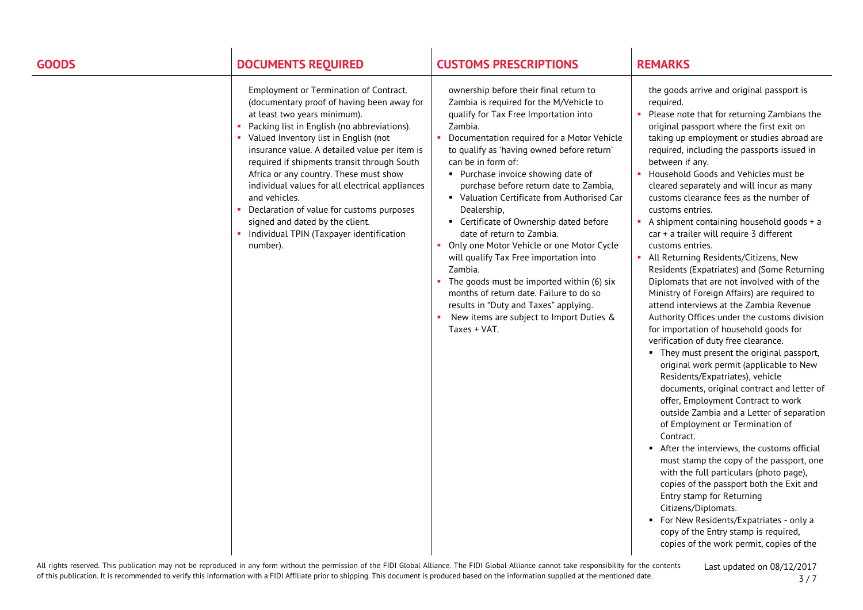| <b>GOODS</b> | <b>DOCUMENTS REQUIRED</b>                                                                                                                                                                                                                                                                                                                                                                                                                                                                                                                                          | <b>CUSTOMS PRESCRIPTIONS</b>                                                                                                                                                                                                                                                                                                                                                                                                                                                                                                                                                                                                                                                                                                                                                   | <b>REMARKS</b>                                                                                                                                                                                                                                                                                                                                                                                                                                                                                                                                                                                                                                                                                                                                                                                                                                                                                                                                                                                                                                                                                                                                                                                                                                                                                                                                                                                                                                                                                                                                                                                |
|--------------|--------------------------------------------------------------------------------------------------------------------------------------------------------------------------------------------------------------------------------------------------------------------------------------------------------------------------------------------------------------------------------------------------------------------------------------------------------------------------------------------------------------------------------------------------------------------|--------------------------------------------------------------------------------------------------------------------------------------------------------------------------------------------------------------------------------------------------------------------------------------------------------------------------------------------------------------------------------------------------------------------------------------------------------------------------------------------------------------------------------------------------------------------------------------------------------------------------------------------------------------------------------------------------------------------------------------------------------------------------------|-----------------------------------------------------------------------------------------------------------------------------------------------------------------------------------------------------------------------------------------------------------------------------------------------------------------------------------------------------------------------------------------------------------------------------------------------------------------------------------------------------------------------------------------------------------------------------------------------------------------------------------------------------------------------------------------------------------------------------------------------------------------------------------------------------------------------------------------------------------------------------------------------------------------------------------------------------------------------------------------------------------------------------------------------------------------------------------------------------------------------------------------------------------------------------------------------------------------------------------------------------------------------------------------------------------------------------------------------------------------------------------------------------------------------------------------------------------------------------------------------------------------------------------------------------------------------------------------------|
|              | Employment or Termination of Contract.<br>(documentary proof of having been away for<br>at least two years minimum).<br>Packing list in English (no abbreviations).<br>Valued Inventory list in English (not<br>insurance value. A detailed value per item is<br>required if shipments transit through South<br>Africa or any country. These must show<br>individual values for all electrical appliances<br>and vehicles.<br>Declaration of value for customs purposes<br>signed and dated by the client.<br>Individual TPIN (Taxpayer identification<br>number). | ownership before their final return to<br>Zambia is required for the M/Vehicle to<br>qualify for Tax Free Importation into<br>Zambia.<br>Documentation required for a Motor Vehicle<br>to qualify as 'having owned before return'<br>can be in form of:<br>• Purchase invoice showing date of<br>purchase before return date to Zambia,<br>• Valuation Certificate from Authorised Car<br>Dealership,<br>• Certificate of Ownership dated before<br>date of return to Zambia.<br>• Only one Motor Vehicle or one Motor Cycle<br>will qualify Tax Free importation into<br>Zambia.<br>The goods must be imported within (6) six<br>months of return date. Failure to do so<br>results in "Duty and Taxes" applying.<br>New items are subject to Import Duties &<br>Taxes + VAT. | the goods arrive and original passport is<br>required.<br>Please note that for returning Zambians the<br>original passport where the first exit on<br>taking up employment or studies abroad are<br>required, including the passports issued in<br>between if any.<br>• Household Goods and Vehicles must be<br>cleared separately and will incur as many<br>customs clearance fees as the number of<br>customs entries.<br>A shipment containing household goods + a<br>car + a trailer will require 3 different<br>customs entries.<br>• All Returning Residents/Citizens, New<br>Residents (Expatriates) and (Some Returning<br>Diplomats that are not involved with of the<br>Ministry of Foreign Affairs) are required to<br>attend interviews at the Zambia Revenue<br>Authority Offices under the customs division<br>for importation of household goods for<br>verification of duty free clearance.<br>• They must present the original passport,<br>original work permit (applicable to New<br>Residents/Expatriates), vehicle<br>documents, original contract and letter of<br>offer, Employment Contract to work<br>outside Zambia and a Letter of separation<br>of Employment or Termination of<br>Contract.<br>After the interviews, the customs official<br>must stamp the copy of the passport, one<br>with the full particulars (photo page),<br>copies of the passport both the Exit and<br>Entry stamp for Returning<br>Citizens/Diplomats.<br>• For New Residents/Expatriates - only a<br>copy of the Entry stamp is required,<br>copies of the work permit, copies of the |

All rights reserved. This publication may not be reproduced in any form without the permission of the FIDI Global Alliance. The FIDI Global Alliance cannot take responsibility for the contents of this publication. It is recommended to verify this information with a FIDI Affiliate prior to shipping. This document is produced based on the information supplied at the mentioned date.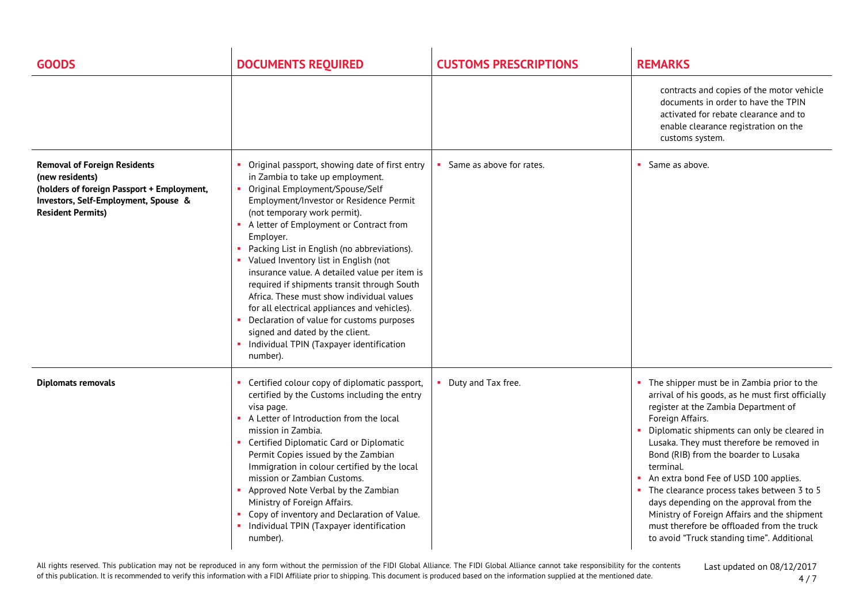| <b>GOODS</b>                                                                                                                                                             | <b>DOCUMENTS REQUIRED</b>                                                                                                                                                                                                                                                                                                                                                                                                                                                                                                                                                                                                                                                                     | <b>CUSTOMS PRESCRIPTIONS</b> | <b>REMARKS</b>                                                                                                                                                                                                                                                                                                                                                                                                                                                                                                                                                                                    |
|--------------------------------------------------------------------------------------------------------------------------------------------------------------------------|-----------------------------------------------------------------------------------------------------------------------------------------------------------------------------------------------------------------------------------------------------------------------------------------------------------------------------------------------------------------------------------------------------------------------------------------------------------------------------------------------------------------------------------------------------------------------------------------------------------------------------------------------------------------------------------------------|------------------------------|---------------------------------------------------------------------------------------------------------------------------------------------------------------------------------------------------------------------------------------------------------------------------------------------------------------------------------------------------------------------------------------------------------------------------------------------------------------------------------------------------------------------------------------------------------------------------------------------------|
|                                                                                                                                                                          |                                                                                                                                                                                                                                                                                                                                                                                                                                                                                                                                                                                                                                                                                               |                              | contracts and copies of the motor vehicle<br>documents in order to have the TPIN<br>activated for rebate clearance and to<br>enable clearance registration on the<br>customs system.                                                                                                                                                                                                                                                                                                                                                                                                              |
| <b>Removal of Foreign Residents</b><br>(new residents)<br>(holders of foreign Passport + Employment,<br>Investors, Self-Employment, Spouse &<br><b>Resident Permits)</b> | • Original passport, showing date of first entry<br>in Zambia to take up employment.<br>• Original Employment/Spouse/Self<br>Employment/Investor or Residence Permit<br>(not temporary work permit).<br>A letter of Employment or Contract from<br>Employer.<br>Packing List in English (no abbreviations).<br>• Valued Inventory list in English (not<br>insurance value. A detailed value per item is<br>required if shipments transit through South<br>Africa. These must show individual values<br>for all electrical appliances and vehicles).<br>Declaration of value for customs purposes<br>signed and dated by the client.<br>• Individual TPIN (Taxpayer identification<br>number). | • Same as above for rates.   | • Same as above.                                                                                                                                                                                                                                                                                                                                                                                                                                                                                                                                                                                  |
| <b>Diplomats removals</b>                                                                                                                                                | • Certified colour copy of diplomatic passport,<br>certified by the Customs including the entry<br>visa page.<br>• A Letter of Introduction from the local<br>mission in Zambia.<br>• Certified Diplomatic Card or Diplomatic<br>Permit Copies issued by the Zambian<br>Immigration in colour certified by the local<br>mission or Zambian Customs.<br>• Approved Note Verbal by the Zambian<br>Ministry of Foreign Affairs.<br>• Copy of inventory and Declaration of Value.<br>• Individual TPIN (Taxpayer identification<br>number).                                                                                                                                                       | Duty and Tax free.           | • The shipper must be in Zambia prior to the<br>arrival of his goods, as he must first officially<br>register at the Zambia Department of<br>Foreign Affairs.<br>• Diplomatic shipments can only be cleared in<br>Lusaka. They must therefore be removed in<br>Bond (RIB) from the boarder to Lusaka<br>terminal.<br>An extra bond Fee of USD 100 applies.<br>• The clearance process takes between 3 to 5<br>days depending on the approval from the<br>Ministry of Foreign Affairs and the shipment<br>must therefore be offloaded from the truck<br>to avoid "Truck standing time". Additional |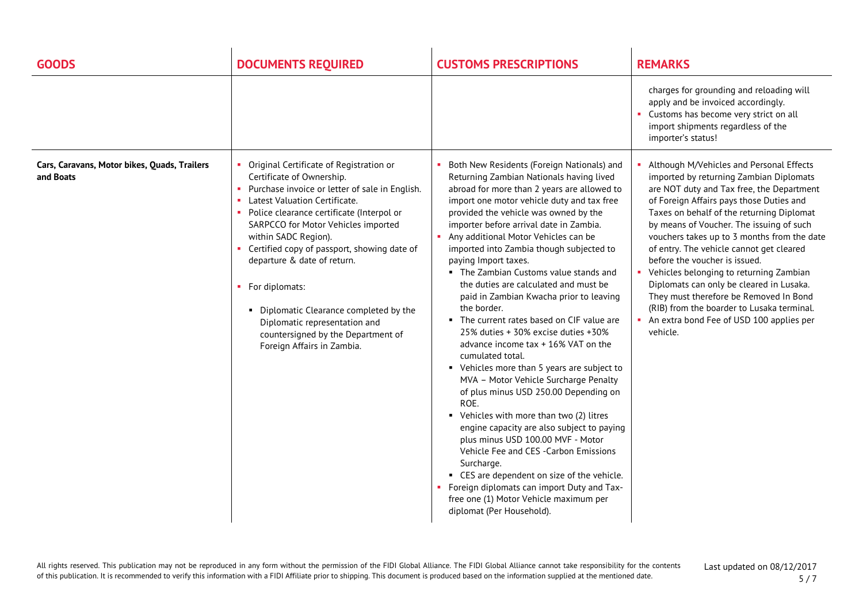| <b>GOODS</b>                                              | <b>DOCUMENTS REQUIRED</b>                                                                                                                                                                                                                                                                                                                                                                                                                                                                                               | <b>CUSTOMS PRESCRIPTIONS</b>                                                                                                                                                                                                                                                                                                                                                                                                                                                                                                                                                                                                                                                                                                                                                                                                                                                                                                                                                                                                                                                                                                                                                              | <b>REMARKS</b>                                                                                                                                                                                                                                                                                                                                                                                                                                                                                                                                                                                                                           |
|-----------------------------------------------------------|-------------------------------------------------------------------------------------------------------------------------------------------------------------------------------------------------------------------------------------------------------------------------------------------------------------------------------------------------------------------------------------------------------------------------------------------------------------------------------------------------------------------------|-------------------------------------------------------------------------------------------------------------------------------------------------------------------------------------------------------------------------------------------------------------------------------------------------------------------------------------------------------------------------------------------------------------------------------------------------------------------------------------------------------------------------------------------------------------------------------------------------------------------------------------------------------------------------------------------------------------------------------------------------------------------------------------------------------------------------------------------------------------------------------------------------------------------------------------------------------------------------------------------------------------------------------------------------------------------------------------------------------------------------------------------------------------------------------------------|------------------------------------------------------------------------------------------------------------------------------------------------------------------------------------------------------------------------------------------------------------------------------------------------------------------------------------------------------------------------------------------------------------------------------------------------------------------------------------------------------------------------------------------------------------------------------------------------------------------------------------------|
|                                                           |                                                                                                                                                                                                                                                                                                                                                                                                                                                                                                                         |                                                                                                                                                                                                                                                                                                                                                                                                                                                                                                                                                                                                                                                                                                                                                                                                                                                                                                                                                                                                                                                                                                                                                                                           | charges for grounding and reloading will<br>apply and be invoiced accordingly.<br>Customs has become very strict on all<br>import shipments regardless of the<br>importer's status!                                                                                                                                                                                                                                                                                                                                                                                                                                                      |
| Cars, Caravans, Motor bikes, Quads, Trailers<br>and Boats | Original Certificate of Registration or<br>Certificate of Ownership.<br>Purchase invoice or letter of sale in English.<br>Latest Valuation Certificate.<br>Police clearance certificate (Interpol or<br>SARPCCO for Motor Vehicles imported<br>within SADC Region).<br>• Certified copy of passport, showing date of<br>departure & date of return.<br>• For diplomats:<br>• Diplomatic Clearance completed by the<br>Diplomatic representation and<br>countersigned by the Department of<br>Foreign Affairs in Zambia. | Both New Residents (Foreign Nationals) and<br>Returning Zambian Nationals having lived<br>abroad for more than 2 years are allowed to<br>import one motor vehicle duty and tax free<br>provided the vehicle was owned by the<br>importer before arrival date in Zambia.<br>• Any additional Motor Vehicles can be<br>imported into Zambia though subjected to<br>paying Import taxes.<br>• The Zambian Customs value stands and<br>the duties are calculated and must be<br>paid in Zambian Kwacha prior to leaving<br>the border.<br>• The current rates based on CIF value are<br>$25\%$ duties + 30% excise duties +30%<br>advance income tax + 16% VAT on the<br>cumulated total.<br>• Vehicles more than 5 years are subject to<br>MVA - Motor Vehicle Surcharge Penalty<br>of plus minus USD 250.00 Depending on<br>ROE.<br>• Vehicles with more than two (2) litres<br>engine capacity are also subject to paying<br>plus minus USD 100.00 MVF - Motor<br>Vehicle Fee and CES - Carbon Emissions<br>Surcharge.<br>• CES are dependent on size of the vehicle.<br>Foreign diplomats can import Duty and Tax-<br>free one (1) Motor Vehicle maximum per<br>diplomat (Per Household). | Although M/Vehicles and Personal Effects<br>imported by returning Zambian Diplomats<br>are NOT duty and Tax free, the Department<br>of Foreign Affairs pays those Duties and<br>Taxes on behalf of the returning Diplomat<br>by means of Voucher. The issuing of such<br>vouchers takes up to 3 months from the date<br>of entry. The vehicle cannot get cleared<br>before the voucher is issued.<br>Vehicles belonging to returning Zambian<br>Diplomats can only be cleared in Lusaka.<br>They must therefore be Removed In Bond<br>(RIB) from the boarder to Lusaka terminal.<br>An extra bond Fee of USD 100 applies per<br>vehicle. |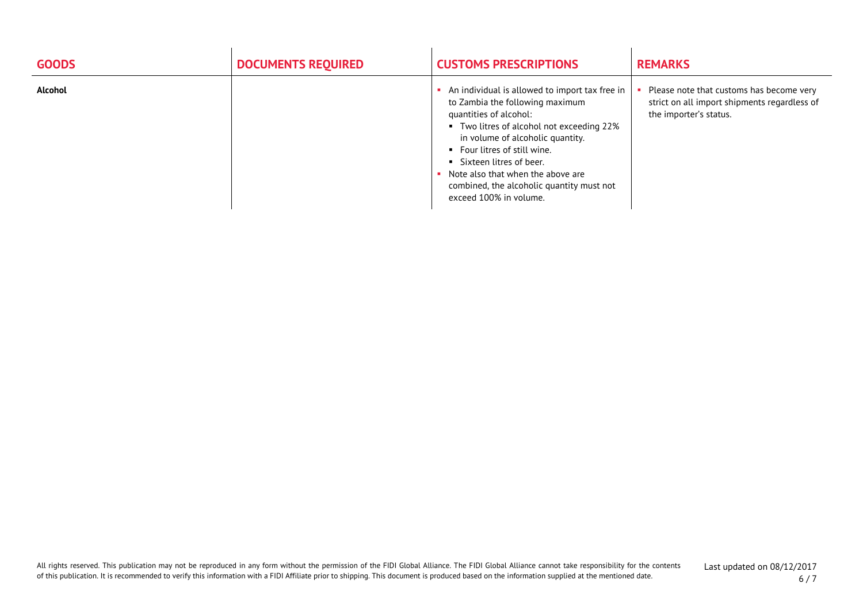| <b>GOODS</b>   | <b>DOCUMENTS REQUIRED</b> | <b>CUSTOMS PRESCRIPTIONS</b>                                                                                                                                                                                                                                                                                                                                            | <b>REMARKS</b>                                                                                                     |
|----------------|---------------------------|-------------------------------------------------------------------------------------------------------------------------------------------------------------------------------------------------------------------------------------------------------------------------------------------------------------------------------------------------------------------------|--------------------------------------------------------------------------------------------------------------------|
| <b>Alcohol</b> |                           | An individual is allowed to import tax free in<br>to Zambia the following maximum<br>quantities of alcohol:<br>■ Two litres of alcohol not exceeding 22%<br>in volume of alcoholic quantity.<br>• Four litres of still wine.<br>• Sixteen litres of beer.<br>• Note also that when the above are<br>combined, the alcoholic quantity must not<br>exceed 100% in volume. | Please note that customs has become very<br>strict on all import shipments regardless of<br>the importer's status. |